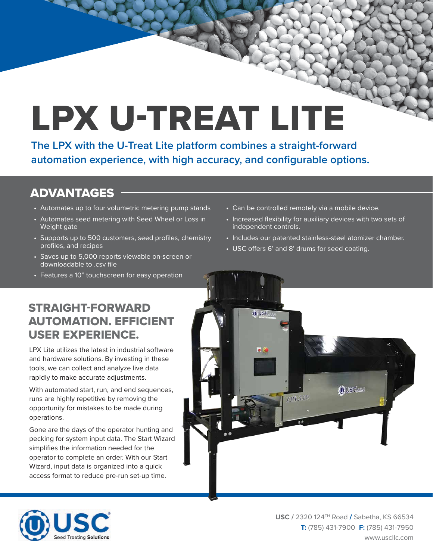# LPX U-TREAT LITE

**The LPX with the U-Treat Lite platform combines a straight-forward automation experience, with high accuracy, and configurable options.** 

## ADVANTAGES

- Automates up to four volumetric metering pump stands
- Automates seed metering with Seed Wheel or Loss in Weight gate
- Supports up to 500 customers, seed profiles, chemistry profiles, and recipes
- Saves up to 5,000 reports viewable on-screen or downloadable to .csv file
- Features a 10" touchscreen for easy operation
- Can be controlled remotely via a mobile device.
- Increased flexibility for auxiliary devices with two sets of independent controls.
- Includes our patented stainless-steel atomizer chamber.
- USC offers 6' and 8' drums for seed coating.

#### STRAIGHT-FORWARD AUTOMATION. EFFICIENT USER EXPERIENCE.

LPX Lite utilizes the latest in industrial software and hardware solutions. By investing in these tools, we can collect and analyze live data rapidly to make accurate adjustments.

With automated start, run, and end sequences, runs are highly repetitive by removing the opportunity for mistakes to be made during operations.

Gone are the days of the operator hunting and pecking for system input data. The Start Wizard simplifies the information needed for the operator to complete an order. With our Start Wizard, input data is organized into a quick access format to reduce pre-run set-up time.